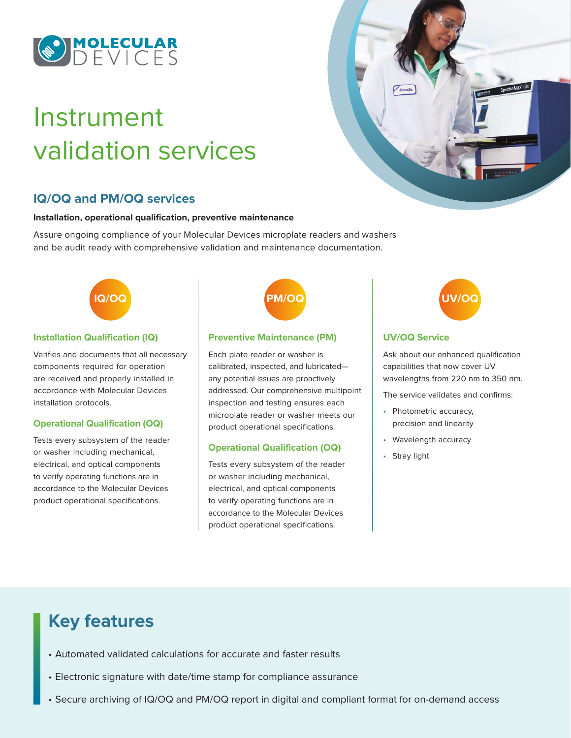

# Instrument validation services

# **IQ/OQ and PM/OQ services**

#### **Installation, operational qualification, preventive maintenance**

Assure ongoing compliance of your Molecular Devices microplate readers and washers and be audit ready with comprehensive validation and maintenance documentation.



#### **Installation Qualification (IQ)**

Verifies and documents that all necessary components required for operation are received and properly installed in accordance with Molecular Devices installation protocols.

#### **Operational Qualification (OQ)**

Tests every subsystem of the reader or washer including mechanical, electrical, and optical components to verify operating functions are in accordance to the Molecular Devices product operational specifications.

#### **Preventive Maintenance (PM)**

Each plate reader or washer is calibrated, inspected, and lubricated any potential issues are proactively addressed. Our comprehensive multipoint inspection and testing ensures each microplate reader or washer meets our product operational specifications.

#### **Operational Qualification (OQ)**

Tests every subsystem of the reader or washer including mechanical, electrical, and optical components to verify operating functions are in accordance to the Molecular Devices product operational specifications.





### **UV/OQ Service**

Ask about our enhanced qualification capabilities that now cover UV wavelengths from 220 nm to 350 nm.

The service validates and confirms:

- Photometric accuracy, precision and linearity
- Wavelength accuracy
- Stray light

# **Key features**

- Automated validated calculations for accurate and faster results
- Electronic signature with date/time stamp for compliance assurance
- Secure archiving of IQ/OQ and PM/OQ report in digital and compliant format for on-demand access